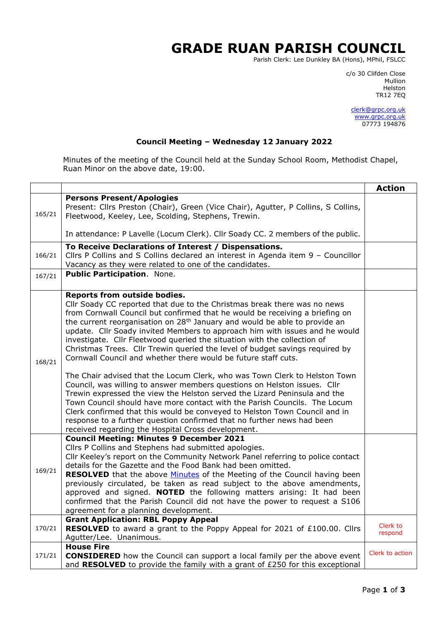## **GRADE RUAN PARISH COUNCIL**

Parish Clerk: Lee Dunkley BA (Hons), MPhil, FSLCC

c/o 30 Clifden Close man and the control of the control of the control of the control of the control of the control of the control o Helston TR12 7EQ

> [clerk@grpc.org.uk](mailto:clerk@grpc.org.uk) [www.grpc.org.uk](http://www.grpc.org.uk/) 07773 194876

## **Council Meeting – Wednesday 12 January 2022**

Minutes of the meeting of the Council held at the Sunday School Room, Methodist Chapel, Ruan Minor on the above date, 19:00.

|        |                                                                                                                                                                                                                                                                                                                                                                                                                                                                                                                                                                                                                                                                                                                                                                                                                                                                                                                                                                                                                                                                                                                                   | <b>Action</b>       |
|--------|-----------------------------------------------------------------------------------------------------------------------------------------------------------------------------------------------------------------------------------------------------------------------------------------------------------------------------------------------------------------------------------------------------------------------------------------------------------------------------------------------------------------------------------------------------------------------------------------------------------------------------------------------------------------------------------------------------------------------------------------------------------------------------------------------------------------------------------------------------------------------------------------------------------------------------------------------------------------------------------------------------------------------------------------------------------------------------------------------------------------------------------|---------------------|
| 165/21 | <b>Persons Present/Apologies</b><br>Present: Cllrs Preston (Chair), Green (Vice Chair), Agutter, P Collins, S Collins,<br>Fleetwood, Keeley, Lee, Scolding, Stephens, Trewin.                                                                                                                                                                                                                                                                                                                                                                                                                                                                                                                                                                                                                                                                                                                                                                                                                                                                                                                                                     |                     |
|        | In attendance: P Lavelle (Locum Clerk). Cllr Soady CC. 2 members of the public.                                                                                                                                                                                                                                                                                                                                                                                                                                                                                                                                                                                                                                                                                                                                                                                                                                                                                                                                                                                                                                                   |                     |
| 166/21 | To Receive Declarations of Interest / Dispensations.<br>Cllrs P Collins and S Collins declared an interest in Agenda item 9 - Councillor<br>Vacancy as they were related to one of the candidates.                                                                                                                                                                                                                                                                                                                                                                                                                                                                                                                                                                                                                                                                                                                                                                                                                                                                                                                                |                     |
| 167/21 | Public Participation. None.                                                                                                                                                                                                                                                                                                                                                                                                                                                                                                                                                                                                                                                                                                                                                                                                                                                                                                                                                                                                                                                                                                       |                     |
| 168/21 | Reports from outside bodies.<br>Cllr Soady CC reported that due to the Christmas break there was no news<br>from Cornwall Council but confirmed that he would be receiving a briefing on<br>the current reorganisation on 28 <sup>th</sup> January and would be able to provide an<br>update. Cllr Soady invited Members to approach him with issues and he would<br>investigate. Cllr Fleetwood queried the situation with the collection of<br>Christmas Trees. Cllr Trewin queried the level of budget savings required by<br>Cornwall Council and whether there would be future staff cuts.<br>The Chair advised that the Locum Clerk, who was Town Clerk to Helston Town<br>Council, was willing to answer members questions on Helston issues. Cllr<br>Trewin expressed the view the Helston served the Lizard Peninsula and the<br>Town Council should have more contact with the Parish Councils. The Locum<br>Clerk confirmed that this would be conveyed to Helston Town Council and in<br>response to a further question confirmed that no further news had been<br>received regarding the Hospital Cross development. |                     |
| 169/21 | <b>Council Meeting: Minutes 9 December 2021</b><br>Cllrs P Collins and Stephens had submitted apologies.<br>Cllr Keeley's report on the Community Network Panel referring to police contact<br>details for the Gazette and the Food Bank had been omitted.<br><b>RESOLVED</b> that the above <b>Minutes</b> of the Meeting of the Council having been<br>previously circulated, be taken as read subject to the above amendments,<br>approved and signed. <b>NOTED</b> the following matters arising: It had been<br>confirmed that the Parish Council did not have the power to request a S106<br>agreement for a planning development.                                                                                                                                                                                                                                                                                                                                                                                                                                                                                          |                     |
| 170/21 | <b>Grant Application: RBL Poppy Appeal</b><br><b>RESOLVED</b> to award a grant to the Poppy Appeal for 2021 of £100.00. Clirs<br>Agutter/Lee. Unanimous.                                                                                                                                                                                                                                                                                                                                                                                                                                                                                                                                                                                                                                                                                                                                                                                                                                                                                                                                                                          | Clerk to<br>respond |
| 171/21 | <b>House Fire</b><br><b>CONSIDERED</b> how the Council can support a local family per the above event<br>and RESOLVED to provide the family with a grant of £250 for this exceptional                                                                                                                                                                                                                                                                                                                                                                                                                                                                                                                                                                                                                                                                                                                                                                                                                                                                                                                                             | Clerk to action     |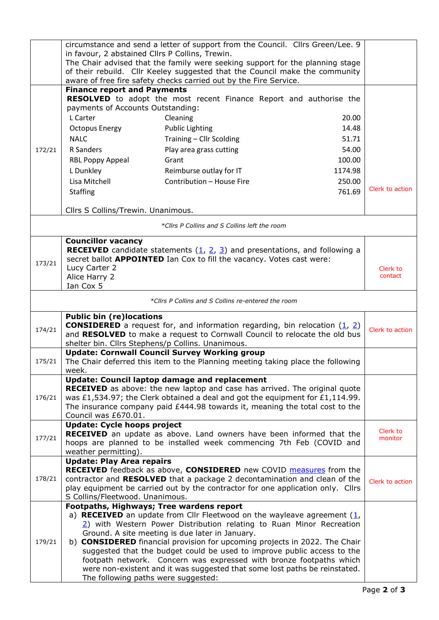|        | circumstance and send a letter of support from the Council. Cllrs Green/Lee. 9                                                                               |                                                                                                                                                      |         |                     |  |  |
|--------|--------------------------------------------------------------------------------------------------------------------------------------------------------------|------------------------------------------------------------------------------------------------------------------------------------------------------|---------|---------------------|--|--|
|        | in favour, 2 abstained Cllrs P Collins, Trewin.                                                                                                              |                                                                                                                                                      |         |                     |  |  |
|        | The Chair advised that the family were seeking support for the planning stage<br>of their rebuild. Cllr Keeley suggested that the Council make the community |                                                                                                                                                      |         |                     |  |  |
|        | aware of free fire safety checks carried out by the Fire Service.                                                                                            |                                                                                                                                                      |         |                     |  |  |
|        | <b>Finance report and Payments</b>                                                                                                                           |                                                                                                                                                      |         |                     |  |  |
|        |                                                                                                                                                              | RESOLVED to adopt the most recent Finance Report and authorise the                                                                                   |         |                     |  |  |
|        | payments of Accounts Outstanding:                                                                                                                            |                                                                                                                                                      |         |                     |  |  |
|        | L Carter                                                                                                                                                     | Cleaning                                                                                                                                             | 20.00   |                     |  |  |
|        | <b>Octopus Energy</b>                                                                                                                                        | <b>Public Lighting</b>                                                                                                                               | 14.48   |                     |  |  |
|        | <b>NALC</b>                                                                                                                                                  | Training - Cllr Scolding                                                                                                                             | 51.71   |                     |  |  |
| 172/21 | R Sanders                                                                                                                                                    | Play area grass cutting                                                                                                                              | 54.00   |                     |  |  |
|        | RBL Poppy Appeal                                                                                                                                             | Grant                                                                                                                                                | 100.00  |                     |  |  |
|        | L Dunkley                                                                                                                                                    | Reimburse outlay for IT                                                                                                                              | 1174.98 |                     |  |  |
|        | Lisa Mitchell                                                                                                                                                | Contribution - House Fire                                                                                                                            | 250.00  |                     |  |  |
|        | <b>Staffing</b>                                                                                                                                              |                                                                                                                                                      | 761.69  | Clerk to action     |  |  |
|        | Cllrs S Collins/Trewin. Unanimous.                                                                                                                           |                                                                                                                                                      |         |                     |  |  |
|        |                                                                                                                                                              |                                                                                                                                                      |         |                     |  |  |
|        |                                                                                                                                                              | *Cllrs P Collins and S Collins left the room                                                                                                         |         |                     |  |  |
|        | <b>Councillor vacancy</b>                                                                                                                                    |                                                                                                                                                      |         |                     |  |  |
|        |                                                                                                                                                              | <b>RECEIVED</b> candidate statements $(\underline{1}, \underline{2}, \underline{3})$ and presentations, and following a                              |         |                     |  |  |
| 173/21 | Lucy Carter 2                                                                                                                                                | secret ballot <b>APPOINTED</b> Ian Cox to fill the vacancy. Votes cast were:                                                                         |         | Clerk to            |  |  |
|        | Alice Harry 2                                                                                                                                                |                                                                                                                                                      |         | contact             |  |  |
|        | Ian Cox 5                                                                                                                                                    |                                                                                                                                                      |         |                     |  |  |
|        |                                                                                                                                                              | *Cllrs P Collins and S Collins re-entered the room                                                                                                   |         |                     |  |  |
|        | <b>Public bin (re)locations</b>                                                                                                                              |                                                                                                                                                      |         |                     |  |  |
| 174/21 | <b>CONSIDERED</b> a request for, and information regarding, bin relocation $(1, 2)$                                                                          |                                                                                                                                                      |         | Clerk to action     |  |  |
|        | and RESOLVED to make a request to Cornwall Council to relocate the old bus                                                                                   |                                                                                                                                                      |         |                     |  |  |
|        | shelter bin. Cllrs Stephens/p Collins. Unanimous.<br><b>Update: Cornwall Council Survey Working group</b>                                                    |                                                                                                                                                      |         |                     |  |  |
| 175/21 | The Chair deferred this item to the Planning meeting taking place the following                                                                              |                                                                                                                                                      |         |                     |  |  |
|        | week.                                                                                                                                                        |                                                                                                                                                      |         |                     |  |  |
|        | <b>Update: Council laptop damage and replacement</b>                                                                                                         |                                                                                                                                                      |         |                     |  |  |
|        | <b>RECEIVED</b> as above: the new laptop and case has arrived. The original quote                                                                            |                                                                                                                                                      |         |                     |  |  |
| 176/21 | was £1,534.97; the Clerk obtained a deal and got the equipment for £1,114.99.                                                                                |                                                                                                                                                      |         |                     |  |  |
|        | The insurance company paid $£444.98$ towards it, meaning the total cost to the<br>Council was £670.01.                                                       |                                                                                                                                                      |         |                     |  |  |
|        | <b>Update: Cycle hoops project</b>                                                                                                                           |                                                                                                                                                      |         |                     |  |  |
| 177/21 |                                                                                                                                                              | RECEIVED an update as above. Land owners have been informed that the                                                                                 |         | Clerk to<br>monitor |  |  |
|        | hoops are planned to be installed week commencing 7th Feb (COVID and                                                                                         |                                                                                                                                                      |         |                     |  |  |
|        | weather permitting).                                                                                                                                         |                                                                                                                                                      |         |                     |  |  |
|        | <b>Update: Play Area repairs</b>                                                                                                                             | RECEIVED feedback as above, CONSIDERED new COVID measures from the                                                                                   |         |                     |  |  |
| 178/21 |                                                                                                                                                              | contractor and RESOLVED that a package 2 decontamination and clean of the                                                                            |         | Clerk to action     |  |  |
|        |                                                                                                                                                              | play equipment be carried out by the contractor for one application only. Cllrs                                                                      |         |                     |  |  |
|        | S Collins/Fleetwood. Unanimous.                                                                                                                              |                                                                                                                                                      |         |                     |  |  |
|        | Footpaths, Highways; Tree wardens report                                                                                                                     |                                                                                                                                                      |         |                     |  |  |
| 179/21 |                                                                                                                                                              | a) RECEIVED an update from Cllr Fleetwood on the wayleave agreement $(1, 1)$<br>2) with Western Power Distribution relating to Ruan Minor Recreation |         |                     |  |  |
|        |                                                                                                                                                              | Ground. A site meeting is due later in January.                                                                                                      |         |                     |  |  |
|        |                                                                                                                                                              | b) CONSIDERED financial provision for upcoming projects in 2022. The Chair                                                                           |         |                     |  |  |
|        |                                                                                                                                                              | suggested that the budget could be used to improve public access to the                                                                              |         |                     |  |  |
|        | footpath network. Concern was expressed with bronze footpaths which                                                                                          |                                                                                                                                                      |         |                     |  |  |
|        |                                                                                                                                                              | were non-existent and it was suggested that some lost paths be reinstated.                                                                           |         |                     |  |  |
|        | The following paths were suggested:                                                                                                                          |                                                                                                                                                      |         |                     |  |  |